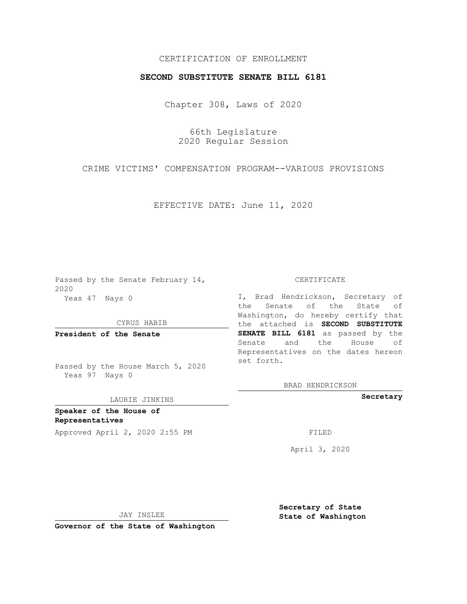## CERTIFICATION OF ENROLLMENT

## **SECOND SUBSTITUTE SENATE BILL 6181**

Chapter 308, Laws of 2020

66th Legislature 2020 Regular Session

CRIME VICTIMS' COMPENSATION PROGRAM--VARIOUS PROVISIONS

EFFECTIVE DATE: June 11, 2020

Passed by the Senate February 14, 2020 Yeas 47 Nays 0

CYRUS HABIB

**President of the Senate**

Passed by the House March 5, 2020 Yeas 97 Nays 0

## LAURIE JINKINS

**Speaker of the House of Representatives**

Approved April 2, 2020 2:55 PM FILED

CERTIFICATE

I, Brad Hendrickson, Secretary of the Senate of the State of Washington, do hereby certify that the attached is **SECOND SUBSTITUTE SENATE BILL 6181** as passed by the Senate and the House of Representatives on the dates hereon set forth.

BRAD HENDRICKSON

**Secretary**

April 3, 2020

JAY INSLEE

**Governor of the State of Washington**

**Secretary of State State of Washington**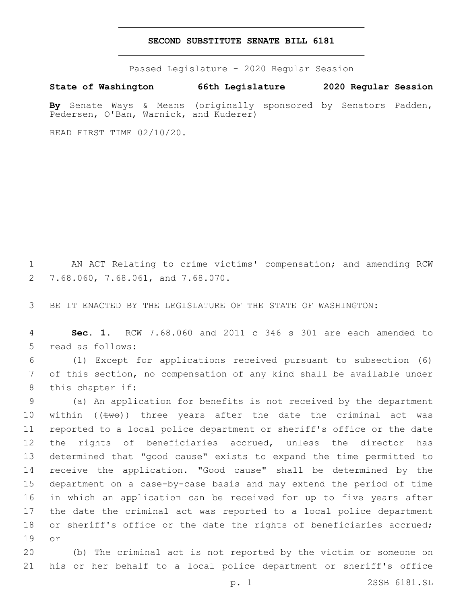## **SECOND SUBSTITUTE SENATE BILL 6181**

Passed Legislature - 2020 Regular Session

**State of Washington 66th Legislature 2020 Regular Session By** Senate Ways & Means (originally sponsored by Senators Padden, Pedersen, O'Ban, Warnick, and Kuderer)

READ FIRST TIME 02/10/20.

1 AN ACT Relating to crime victims' compensation; and amending RCW 7.68.060, 7.68.061, and 7.68.070.2

3 BE IT ENACTED BY THE LEGISLATURE OF THE STATE OF WASHINGTON:

4 **Sec. 1.** RCW 7.68.060 and 2011 c 346 s 301 are each amended to 5 read as follows:

6 (1) Except for applications received pursuant to subsection (6) 7 of this section, no compensation of any kind shall be available under 8 this chapter if:

 (a) An application for benefits is not received by the department 10 within  $((\text{two}))$  three years after the date the criminal act was reported to a local police department or sheriff's office or the date the rights of beneficiaries accrued, unless the director has determined that "good cause" exists to expand the time permitted to receive the application. "Good cause" shall be determined by the department on a case-by-case basis and may extend the period of time in which an application can be received for up to five years after the date the criminal act was reported to a local police department 18 or sheriff's office or the date the rights of beneficiaries accrued; 19 or

20 (b) The criminal act is not reported by the victim or someone on 21 his or her behalf to a local police department or sheriff's office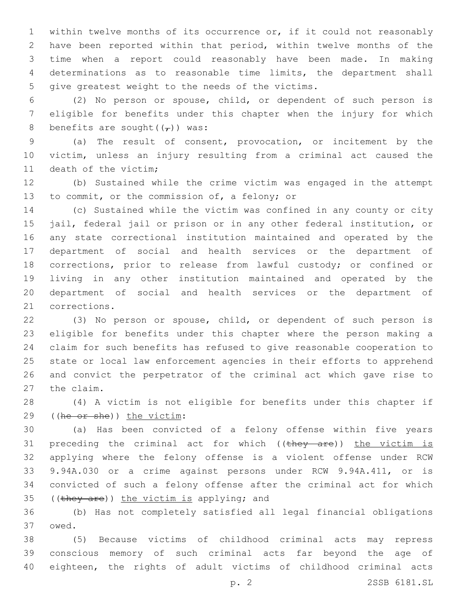within twelve months of its occurrence or, if it could not reasonably have been reported within that period, within twelve months of the time when a report could reasonably have been made. In making determinations as to reasonable time limits, the department shall 5 give greatest weight to the needs of the victims.

 (2) No person or spouse, child, or dependent of such person is eligible for benefits under this chapter when the injury for which 8 benefits are sought( $(\tau)$ ) was:

 (a) The result of consent, provocation, or incitement by the victim, unless an injury resulting from a criminal act caused the 11 death of the victim;

 (b) Sustained while the crime victim was engaged in the attempt 13 to commit, or the commission of, a felony; or

 (c) Sustained while the victim was confined in any county or city jail, federal jail or prison or in any other federal institution, or any state correctional institution maintained and operated by the department of social and health services or the department of corrections, prior to release from lawful custody; or confined or living in any other institution maintained and operated by the department of social and health services or the department of 21 corrections.

 (3) No person or spouse, child, or dependent of such person is eligible for benefits under this chapter where the person making a claim for such benefits has refused to give reasonable cooperation to state or local law enforcement agencies in their efforts to apprehend and convict the perpetrator of the criminal act which gave rise to 27 the claim.

 (4) A victim is not eligible for benefits under this chapter if 29 ((he or she)) the victim:

 (a) Has been convicted of a felony offense within five years 31 preceding the criminal act for which  $((\text{they are}))$  the victim is applying where the felony offense is a violent offense under RCW 9.94A.030 or a crime against persons under RCW 9.94A.411, or is convicted of such a felony offense after the criminal act for which 35 ((they are)) the victim is applying; and

 (b) Has not completely satisfied all legal financial obligations 37 owed.

 (5) Because victims of childhood criminal acts may repress conscious memory of such criminal acts far beyond the age of eighteen, the rights of adult victims of childhood criminal acts

p. 2 2SSB 6181.SL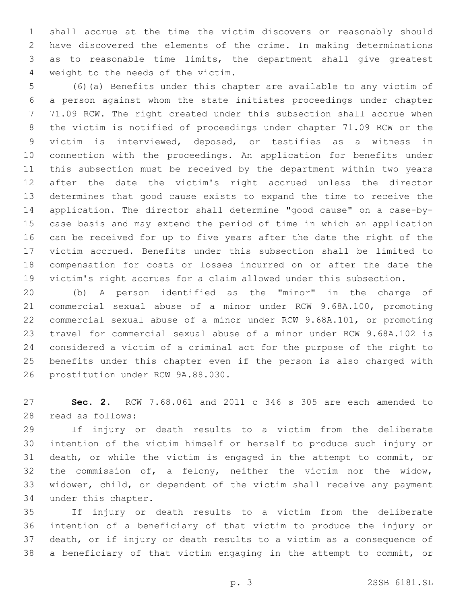shall accrue at the time the victim discovers or reasonably should have discovered the elements of the crime. In making determinations as to reasonable time limits, the department shall give greatest 4 weight to the needs of the victim.

 (6)(a) Benefits under this chapter are available to any victim of a person against whom the state initiates proceedings under chapter 71.09 RCW. The right created under this subsection shall accrue when the victim is notified of proceedings under chapter 71.09 RCW or the victim is interviewed, deposed, or testifies as a witness in connection with the proceedings. An application for benefits under this subsection must be received by the department within two years after the date the victim's right accrued unless the director determines that good cause exists to expand the time to receive the application. The director shall determine "good cause" on a case-by- case basis and may extend the period of time in which an application can be received for up to five years after the date the right of the victim accrued. Benefits under this subsection shall be limited to compensation for costs or losses incurred on or after the date the victim's right accrues for a claim allowed under this subsection.

 (b) A person identified as the "minor" in the charge of commercial sexual abuse of a minor under RCW 9.68A.100, promoting commercial sexual abuse of a minor under RCW 9.68A.101, or promoting travel for commercial sexual abuse of a minor under RCW 9.68A.102 is considered a victim of a criminal act for the purpose of the right to benefits under this chapter even if the person is also charged with 26 prostitution under RCW 9A.88.030.

 **Sec. 2.** RCW 7.68.061 and 2011 c 346 s 305 are each amended to read as follows:28

 If injury or death results to a victim from the deliberate intention of the victim himself or herself to produce such injury or death, or while the victim is engaged in the attempt to commit, or the commission of, a felony, neither the victim nor the widow, widower, child, or dependent of the victim shall receive any payment 34 under this chapter.

 If injury or death results to a victim from the deliberate intention of a beneficiary of that victim to produce the injury or death, or if injury or death results to a victim as a consequence of a beneficiary of that victim engaging in the attempt to commit, or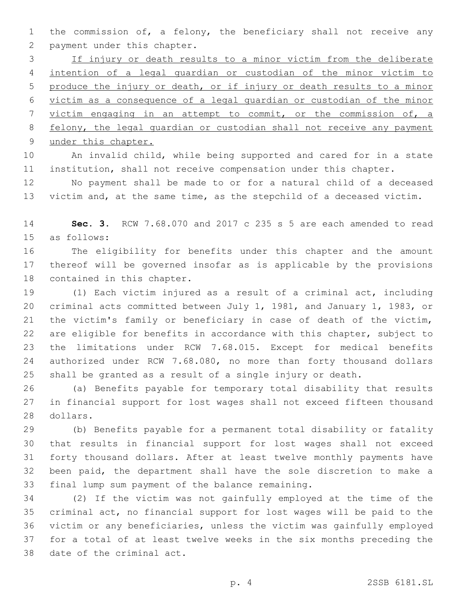the commission of, a felony, the beneficiary shall not receive any 2 payment under this chapter.

 If injury or death results to a minor victim from the deliberate intention of a legal guardian or custodian of the minor victim to produce the injury or death, or if injury or death results to a minor victim as a consequence of a legal guardian or custodian of the minor victim engaging in an attempt to commit, or the commission of, a felony, the legal guardian or custodian shall not receive any payment 9 under this chapter.

 An invalid child, while being supported and cared for in a state institution, shall not receive compensation under this chapter.

 No payment shall be made to or for a natural child of a deceased victim and, at the same time, as the stepchild of a deceased victim.

 **Sec. 3.** RCW 7.68.070 and 2017 c 235 s 5 are each amended to read 15 as follows:

 The eligibility for benefits under this chapter and the amount thereof will be governed insofar as is applicable by the provisions 18 contained in this chapter.

 (1) Each victim injured as a result of a criminal act, including criminal acts committed between July 1, 1981, and January 1, 1983, or the victim's family or beneficiary in case of death of the victim, are eligible for benefits in accordance with this chapter, subject to the limitations under RCW 7.68.015. Except for medical benefits authorized under RCW 7.68.080, no more than forty thousand dollars shall be granted as a result of a single injury or death.

 (a) Benefits payable for temporary total disability that results in financial support for lost wages shall not exceed fifteen thousand 28 dollars.

 (b) Benefits payable for a permanent total disability or fatality that results in financial support for lost wages shall not exceed forty thousand dollars. After at least twelve monthly payments have been paid, the department shall have the sole discretion to make a 33 final lump sum payment of the balance remaining.

 (2) If the victim was not gainfully employed at the time of the criminal act, no financial support for lost wages will be paid to the victim or any beneficiaries, unless the victim was gainfully employed for a total of at least twelve weeks in the six months preceding the 38 date of the criminal act.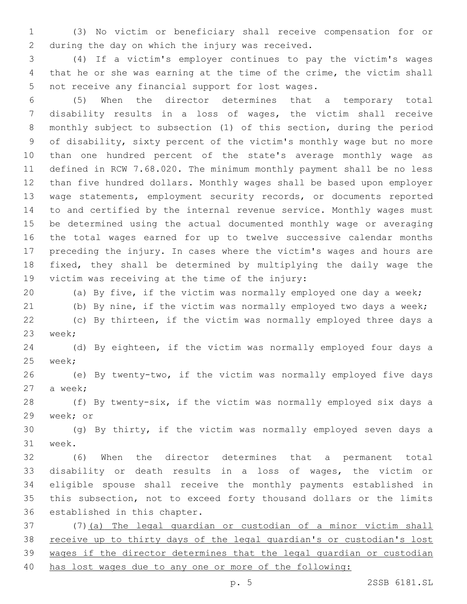(3) No victim or beneficiary shall receive compensation for or 2 during the day on which the injury was received.

 (4) If a victim's employer continues to pay the victim's wages that he or she was earning at the time of the crime, the victim shall 5 not receive any financial support for lost wages.

 (5) When the director determines that a temporary total disability results in a loss of wages, the victim shall receive monthly subject to subsection (1) of this section, during the period of disability, sixty percent of the victim's monthly wage but no more than one hundred percent of the state's average monthly wage as defined in RCW 7.68.020. The minimum monthly payment shall be no less than five hundred dollars. Monthly wages shall be based upon employer wage statements, employment security records, or documents reported to and certified by the internal revenue service. Monthly wages must be determined using the actual documented monthly wage or averaging the total wages earned for up to twelve successive calendar months preceding the injury. In cases where the victim's wages and hours are fixed, they shall be determined by multiplying the daily wage the 19 victim was receiving at the time of the injury:

 (a) By five, if the victim was normally employed one day a week; (b) By nine, if the victim was normally employed two days a week;

 (c) By thirteen, if the victim was normally employed three days a 23 week;

 (d) By eighteen, if the victim was normally employed four days a 25 week;

 (e) By twenty-two, if the victim was normally employed five days 27 a week;

 (f) By twenty-six, if the victim was normally employed six days a 29 week; or

 (g) By thirty, if the victim was normally employed seven days a 31 week.

 (6) When the director determines that a permanent total disability or death results in a loss of wages, the victim or eligible spouse shall receive the monthly payments established in this subsection, not to exceed forty thousand dollars or the limits 36 established in this chapter.

 (7)(a) The legal guardian or custodian of a minor victim shall receive up to thirty days of the legal guardian's or custodian's lost wages if the director determines that the legal guardian or custodian has lost wages due to any one or more of the following: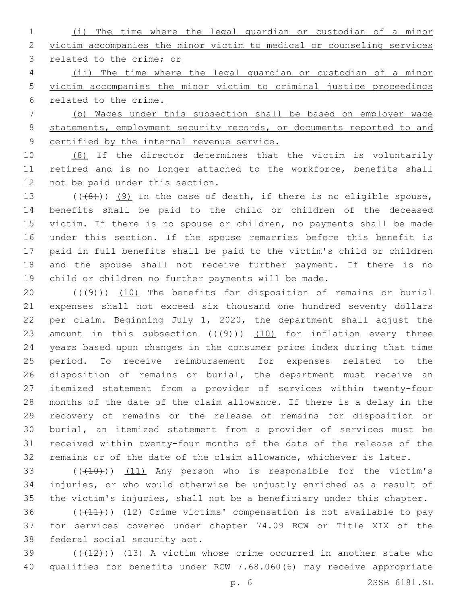(i) The time where the legal guardian or custodian of a minor victim accompanies the minor victim to medical or counseling services related to the crime; or

 (ii) The time where the legal guardian or custodian of a minor victim accompanies the minor victim to criminal justice proceedings related to the crime.

 (b) Wages under this subsection shall be based on employer wage statements, employment security records, or documents reported to and certified by the internal revenue service.

 (8) If the director determines that the victim is voluntarily retired and is no longer attached to the workforce, benefits shall 12 not be paid under this section.

 $((48))$   $(9)$  In the case of death, if there is no eligible spouse, benefits shall be paid to the child or children of the deceased victim. If there is no spouse or children, no payments shall be made under this section. If the spouse remarries before this benefit is paid in full benefits shall be paid to the victim's child or children and the spouse shall not receive further payment. If there is no child or children no further payments will be made.

 $((+9+))$  (10) The benefits for disposition of remains or burial expenses shall not exceed six thousand one hundred seventy dollars per claim. Beginning July 1, 2020, the department shall adjust the 23 amount in this subsection  $((+9+))$   $(10)$  for inflation every three years based upon changes in the consumer price index during that time period. To receive reimbursement for expenses related to the disposition of remains or burial, the department must receive an itemized statement from a provider of services within twenty-four months of the date of the claim allowance. If there is a delay in the recovery of remains or the release of remains for disposition or burial, an itemized statement from a provider of services must be received within twenty-four months of the date of the release of the remains or of the date of the claim allowance, whichever is later.

33 (((410))) (11) Any person who is responsible for the victim's injuries, or who would otherwise be unjustly enriched as a result of the victim's injuries, shall not be a beneficiary under this chapter.

 (( $(411)$ )) (12) Crime victims' compensation is not available to pay for services covered under chapter 74.09 RCW or Title XIX of the 38 federal social security act.

 $(1,12)$  ( $(1,12)$ ) (13) A victim whose crime occurred in another state who qualifies for benefits under RCW 7.68.060(6) may receive appropriate